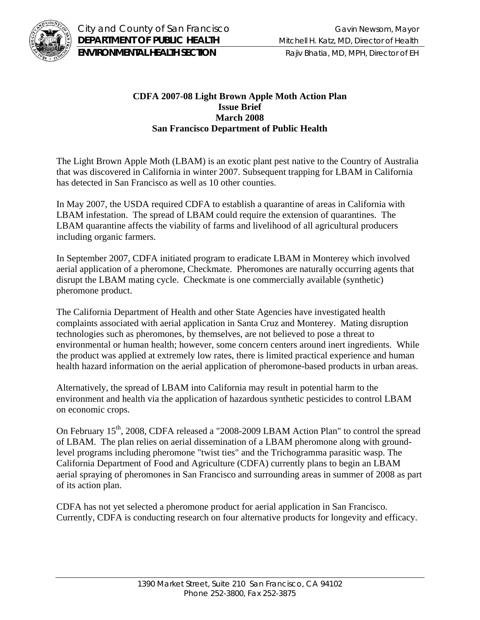

City and County of San Francisco Gavin Newsom, Mayor **DEPARTMENT OF PUBLIC HEALTH** Mitchell H. Katz, MD, Director of Health **ENVIRONMENTAL HEALTH SECTION** Rajiv Bhatia, MD, MPH, Director of EH

## **CDFA 2007-08 Light Brown Apple Moth Action Plan Issue Brief March 2008 San Francisco Department of Public Health**

The Light Brown Apple Moth (LBAM) is an exotic plant pest native to the Country of Australia that was discovered in California in winter 2007. Subsequent trapping for LBAM in California has detected in San Francisco as well as 10 other counties.

In May 2007, the USDA required CDFA to establish a quarantine of areas in California with LBAM infestation. The spread of LBAM could require the extension of quarantines. The LBAM quarantine affects the viability of farms and livelihood of all agricultural producers including organic farmers.

In September 2007, CDFA initiated program to eradicate LBAM in Monterey which involved aerial application of a pheromone, Checkmate. Pheromones are naturally occurring agents that disrupt the LBAM mating cycle. Checkmate is one commercially available (synthetic) pheromone product.

The California Department of Health and other State Agencies have investigated health complaints associated with aerial application in Santa Cruz and Monterey. Mating disruption technologies such as pheromones, by themselves, are not believed to pose a threat to environmental or human health; however, some concern centers around inert ingredients. While the product was applied at extremely low rates, there is limited practical experience and human health hazard information on the aerial application of pheromone-based products in urban areas.

Alternatively, the spread of LBAM into California may result in potential harm to the environment and health via the application of hazardous synthetic pesticides to control LBAM on economic crops.

On February 15<sup>th</sup>, 2008, CDFA released a "2008-2009 LBAM Action Plan" to control the spread of LBAM. The plan relies on aerial dissemination of a LBAM pheromone along with groundlevel programs including pheromone "twist ties" and the Trichogramma parasitic wasp. The California Department of Food and Agriculture (CDFA) currently plans to begin an LBAM aerial spraying of pheromones in San Francisco and surrounding areas in summer of 2008 as part of its action plan.

CDFA has not yet selected a pheromone product for aerial application in San Francisco. Currently, CDFA is conducting research on four alternative products for longevity and efficacy.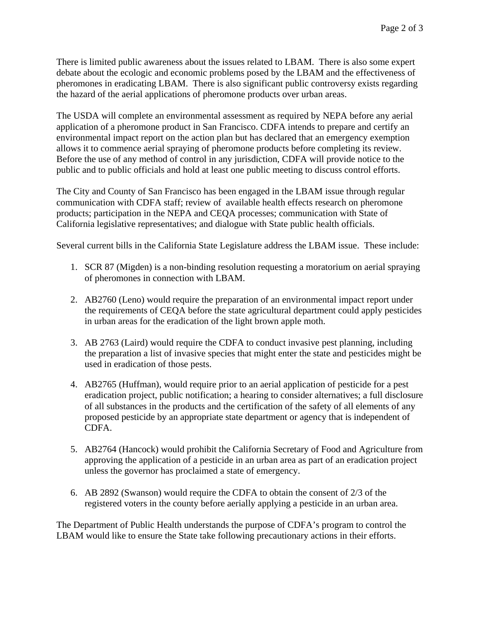There is limited public awareness about the issues related to LBAM. There is also some expert debate about the ecologic and economic problems posed by the LBAM and the effectiveness of pheromones in eradicating LBAM. There is also significant public controversy exists regarding the hazard of the aerial applications of pheromone products over urban areas.

The USDA will complete an environmental assessment as required by NEPA before any aerial application of a pheromone product in San Francisco. CDFA intends to prepare and certify an environmental impact report on the action plan but has declared that an emergency exemption allows it to commence aerial spraying of pheromone products before completing its review. Before the use of any method of control in any jurisdiction, CDFA will provide notice to the public and to public officials and hold at least one public meeting to discuss control efforts.

The City and County of San Francisco has been engaged in the LBAM issue through regular communication with CDFA staff; review of available health effects research on pheromone products; participation in the NEPA and CEQA processes; communication with State of California legislative representatives; and dialogue with State public health officials.

Several current bills in the California State Legislature address the LBAM issue. These include:

- 1. SCR 87 (Migden) is a non-binding resolution requesting a moratorium on aerial spraying of pheromones in connection with LBAM.
- 2. AB2760 (Leno) would require the preparation of an environmental impact report under the requirements of CEQA before the state agricultural department could apply pesticides in urban areas for the eradication of the light brown apple moth.
- 3. AB 2763 (Laird) would require the CDFA to conduct invasive pest planning, including the preparation a list of invasive species that might enter the state and pesticides might be used in eradication of those pests.
- 4. AB2765 (Huffman), would require prior to an aerial application of pesticide for a pest eradication project, public notification; a hearing to consider alternatives; a full disclosure of all substances in the products and the certification of the safety of all elements of any proposed pesticide by an appropriate state department or agency that is independent of CDFA.
- 5. AB2764 (Hancock) would prohibit the California Secretary of Food and Agriculture from approving the application of a pesticide in an urban area as part of an eradication project unless the governor has proclaimed a state of emergency.
- 6. AB 2892 (Swanson) would require the CDFA to obtain the consent of 2/3 of the registered voters in the county before aerially applying a pesticide in an urban area.

The Department of Public Health understands the purpose of CDFA's program to control the LBAM would like to ensure the State take following precautionary actions in their efforts.